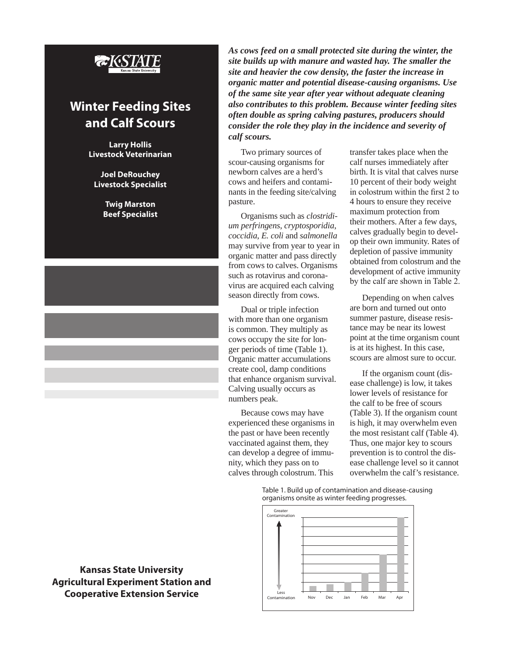

## **Winter Feeding Sites and Calf Scours**

**Larry Hollis Livestock Veterinarian**

**Joel DeRouchey Livestock Specialist**

> **Twig Marston Beef Specialist**

**Kansas State University Agricultural Experiment Station and Cooperative Extension Service**

*As cows feed on a small protected site during the winter, the site builds up with manure and wasted hay. The smaller the site and heavier the cow density, the faster the increase in organic matter and potential disease-causing organisms. Use of the same site year after year without adequate cleaning also contributes to this problem. Because winter feeding sites often double as spring calving pastures, producers should consider the role they play in the incidence and severity of calf scours.*

Two primary sources of scour-causing organisms for newborn calves are a herd's cows and heifers and contaminants in the feeding site/calving pasture.

Organisms such as *clostridium perfringens*, *cryptosporidia*, *coccidia*, *E. coli* and *salmonella* may survive from year to year in organic matter and pass directly from cows to calves. Organisms such as rotavirus and coronavirus are acquired each calving season directly from cows.

Dual or triple infection with more than one organism is common. They multiply as cows occupy the site for longer periods of time (Table 1). Organic matter accumulations create cool, damp conditions that enhance organism survival. Calving usually occurs as numbers peak.

Because cows may have experienced these organisms in the past or have been recently vaccinated against them, they can develop a degree of immunity, which they pass on to calves through colostrum. This

transfer takes place when the calf nurses immediately after birth. It is vital that calves nurse 10 percent of their body weight in colostrum within the first 2 to 4 hours to ensure they receive maximum protection from their mothers. After a few days, calves gradually begin to develop their own immunity. Rates of depletion of passive immunity obtained from colostrum and the development of active immunity by the calf are shown in Table 2.

Depending on when calves are born and turned out onto summer pasture, disease resistance may be near its lowest point at the time organism count is at its highest. In this case, scours are almost sure to occur.

If the organism count (disease challenge) is low, it takes lower levels of resistance for the calf to be free of scours (Table 3). If the organism count is high, it may overwhelm even the most resistant calf (Table 4). Thus, one major key to scours prevention is to control the disease challenge level so it cannot overwhelm the calf's resistance.

Table 1. Build up of contamination and disease-causing organisms onsite as winter feeding progresses.